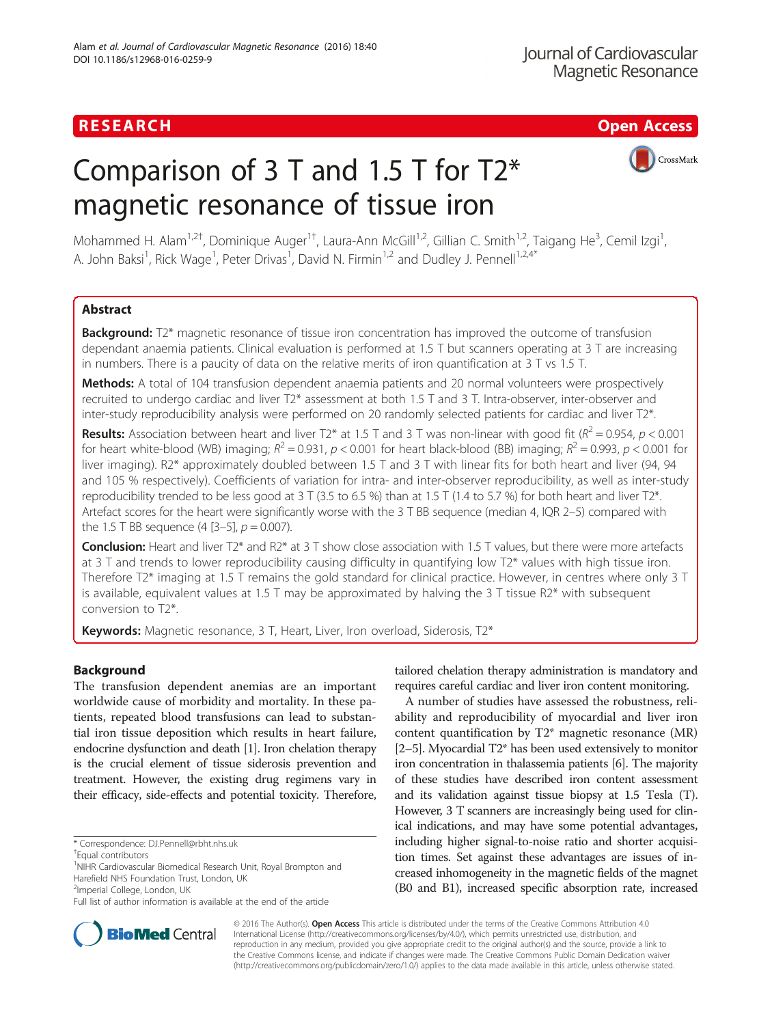# RESEARCH **RESEARCH CHANNEL EXECUTE ACCESS**

# Comparison of 3 T and 1.5 T for T2\* magnetic resonance of tissue iron



Mohammed H. Alam<sup>1,2†</sup>, Dominique Auger<sup>1†</sup>, Laura-Ann McGill<sup>1,2</sup>, Gillian C. Smith<sup>1,2</sup>, Taigang He<sup>3</sup>, Cemil Izgi<sup>1</sup> , A. John Baksi<sup>1</sup>, Rick Wage<sup>1</sup>, Peter Drivas<sup>1</sup>, David N. Firmin<sup>1,2</sup> and Dudley J. Pennell<sup>1,2,4\*</sup>

# Abstract

**Background:** T2\* magnetic resonance of tissue iron concentration has improved the outcome of transfusion dependant anaemia patients. Clinical evaluation is performed at 1.5 T but scanners operating at 3 T are increasing in numbers. There is a paucity of data on the relative merits of iron quantification at 3 T vs 1.5 T.

Methods: A total of 104 transfusion dependent anaemia patients and 20 normal volunteers were prospectively recruited to undergo cardiac and liver T2\* assessment at both 1.5 T and 3 T. Intra-observer, inter-observer and inter-study reproducibility analysis were performed on 20 randomly selected patients for cardiac and liver T2\*.

**Results:** Association between heart and liver T2\* at 1.5 T and 3 T was non-linear with good fit ( $R^2$  = 0.954,  $p$  < 0.001 for heart white-blood (WB) imaging;  $R^2 = 0.931$ ,  $p < 0.001$  for heart black-blood (BB) imaging;  $R^2 = 0.993$ ,  $p < 0.001$  for liver imaging). R2\* approximately doubled between 1.5 T and 3 T with linear fits for both heart and liver (94, 94 and 105 % respectively). Coefficients of variation for intra- and inter-observer reproducibility, as well as inter-study reproducibility trended to be less good at 3 T (3.5 to 6.5 %) than at 1.5 T (1.4 to 5.7 %) for both heart and liver T2\*. Artefact scores for the heart were significantly worse with the 3 T BB sequence (median 4, IQR 2–5) compared with the 1.5 T BB sequence  $(4 [3-5], p = 0.007)$ .

Conclusion: Heart and liver T<sub>2</sub><sup>\*</sup> and R<sub>2</sub><sup>\*</sup> at 3 T show close association with 1.5 T values, but there were more artefacts at 3 T and trends to lower reproducibility causing difficulty in quantifying low T2\* values with high tissue iron. Therefore T2\* imaging at 1.5 T remains the gold standard for clinical practice. However, in centres where only 3 T is available, equivalent values at 1.5 T may be approximated by halving the 3 T tissue R2\* with subsequent conversion to T2\*.

**Keywords:** Magnetic resonance, 3 T, Heart, Liver, Iron overload, Siderosis, T2\*

# Background

The transfusion dependent anemias are an important worldwide cause of morbidity and mortality. In these patients, repeated blood transfusions can lead to substantial iron tissue deposition which results in heart failure, endocrine dysfunction and death [\[1\]](#page-8-0). Iron chelation therapy is the crucial element of tissue siderosis prevention and treatment. However, the existing drug regimens vary in their efficacy, side-effects and potential toxicity. Therefore,



A number of studies have assessed the robustness, reliability and reproducibility of myocardial and liver iron content quantification by T2\* magnetic resonance (MR) [[2](#page-8-0)–[5\]](#page-8-0). Myocardial T2\* has been used extensively to monitor iron concentration in thalassemia patients [\[6\]](#page-8-0). The majority of these studies have described iron content assessment and its validation against tissue biopsy at 1.5 Tesla (T). However, 3 T scanners are increasingly being used for clinical indications, and may have some potential advantages, including higher signal-to-noise ratio and shorter acquisition times. Set against these advantages are issues of increased inhomogeneity in the magnetic fields of the magnet (B0 and B1), increased specific absorption rate, increased



© 2016 The Author(s). Open Access This article is distributed under the terms of the Creative Commons Attribution 4.0 International License [\(http://creativecommons.org/licenses/by/4.0/](http://creativecommons.org/licenses/by/4.0/)), which permits unrestricted use, distribution, and reproduction in any medium, provided you give appropriate credit to the original author(s) and the source, provide a link to the Creative Commons license, and indicate if changes were made. The Creative Commons Public Domain Dedication waiver [\(http://creativecommons.org/publicdomain/zero/1.0/](http://creativecommons.org/publicdomain/zero/1.0/)) applies to the data made available in this article, unless otherwise stated.

<sup>\*</sup> Correspondence: [DJ.Pennell@rbht.nhs.uk](mailto:DJ.Pennell@rbht.nhs.uk) †

Equal contributors

<sup>&</sup>lt;sup>1</sup>NIHR Cardiovascular Biomedical Research Unit, Royal Brompton and Harefield NHS Foundation Trust, London, UK <sup>2</sup>Imperial College, London, UK

Full list of author information is available at the end of the article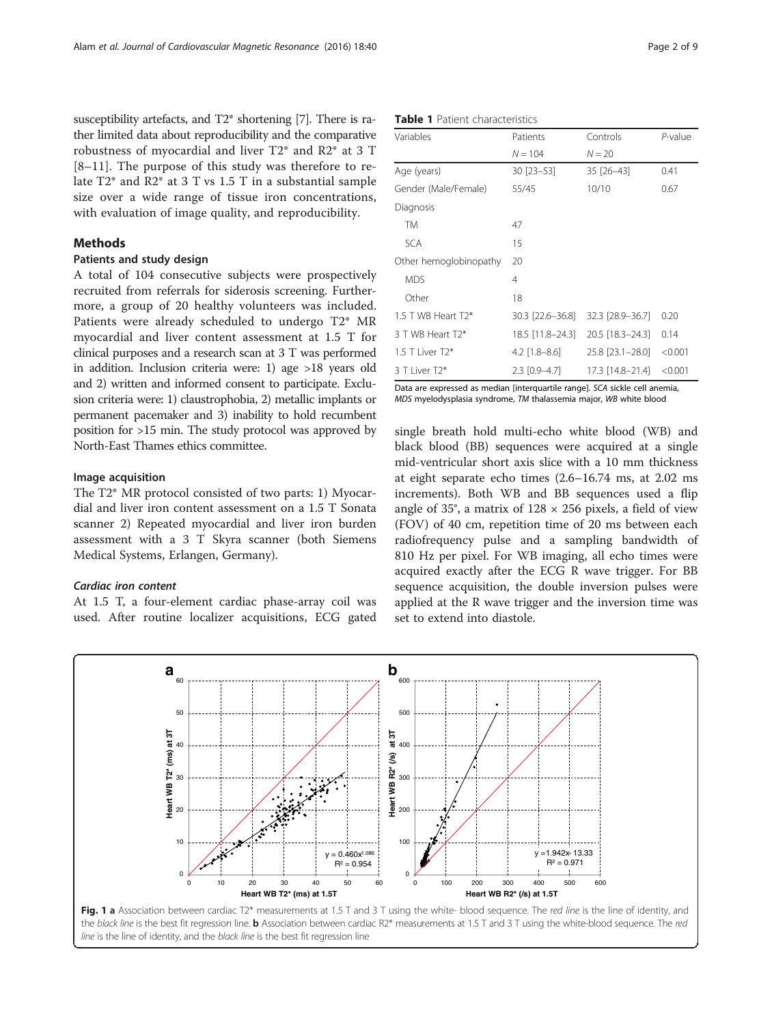<span id="page-1-0"></span>susceptibility artefacts, and T2\* shortening [\[7\]](#page-8-0). There is rather limited data about reproducibility and the comparative robustness of myocardial and liver T2\* and R2\* at 3 T [[8](#page-8-0)–[11](#page-8-0)]. The purpose of this study was therefore to relate T2\* and R2\* at 3 T vs 1.5 T in a substantial sample size over a wide range of tissue iron concentrations, with evaluation of image quality, and reproducibility.

# **Methods**

# Patients and study design

A total of 104 consecutive subjects were prospectively recruited from referrals for siderosis screening. Furthermore, a group of 20 healthy volunteers was included. Patients were already scheduled to undergo T2\* MR myocardial and liver content assessment at 1.5 T for clinical purposes and a research scan at 3 T was performed in addition. Inclusion criteria were: 1) age >18 years old and 2) written and informed consent to participate. Exclusion criteria were: 1) claustrophobia, 2) metallic implants or permanent pacemaker and 3) inability to hold recumbent position for >15 min. The study protocol was approved by North-East Thames ethics committee.

### Image acquisition

The T2\* MR protocol consisted of two parts: 1) Myocardial and liver iron content assessment on a 1.5 T Sonata scanner 2) Repeated myocardial and liver iron burden assessment with a 3 T Skyra scanner (both Siemens Medical Systems, Erlangen, Germany).

# Cardiac iron content

At 1.5 T, a four-element cardiac phase-array coil was used. After routine localizer acquisitions, ECG gated

| <b>Table 1</b> Patient characteristics |  |
|----------------------------------------|--|
|----------------------------------------|--|

| Variables              | Patients         | Controls         | $P$ -value |
|------------------------|------------------|------------------|------------|
|                        | $N = 104$        | $N = 20$         |            |
| Age (years)            | 30 [23-53]       | 35 [26-43]       | 0.41       |
| Gender (Male/Female)   | 55/45            | 10/10            | 0.67       |
| Diagnosis              |                  |                  |            |
| TM                     | 47               |                  |            |
| <b>SCA</b>             | 15               |                  |            |
| Other hemoglobinopathy | 20               |                  |            |
| <b>MDS</b>             | 4                |                  |            |
| Other                  | 18               |                  |            |
| 1.5 T WB Heart T2*     | 30.3 [22.6-36.8] | 32.3 [28.9–36.7] | 0.20       |
| 3 T WB Heart T2*       | 18.5 [11.8–24.3] | 20.5 [18.3-24.3] | 0.14       |
| 1.5 T I iver $T2*$     | $4.2$ [1.8–8.6]  | 25.8 [23.1-28.0] | < 0.001    |
| 3 T Liver T2*          | $2.3$ [0.9-4.7]  | 17.3 [14.8-21.4] | < 0.001    |

Data are expressed as median [interquartile range]. SCA sickle cell anemia, MDS myelodysplasia syndrome, TM thalassemia major, WB white blood

single breath hold multi-echo white blood (WB) and black blood (BB) sequences were acquired at a single mid-ventricular short axis slice with a 10 mm thickness at eight separate echo times (2.6–16.74 ms, at 2.02 ms increments). Both WB and BB sequences used a flip angle of 35°, a matrix of  $128 \times 256$  pixels, a field of view (FOV) of 40 cm, repetition time of 20 ms between each radiofrequency pulse and a sampling bandwidth of 810 Hz per pixel. For WB imaging, all echo times were acquired exactly after the ECG R wave trigger. For BB sequence acquisition, the double inversion pulses were applied at the R wave trigger and the inversion time was set to extend into diastole.



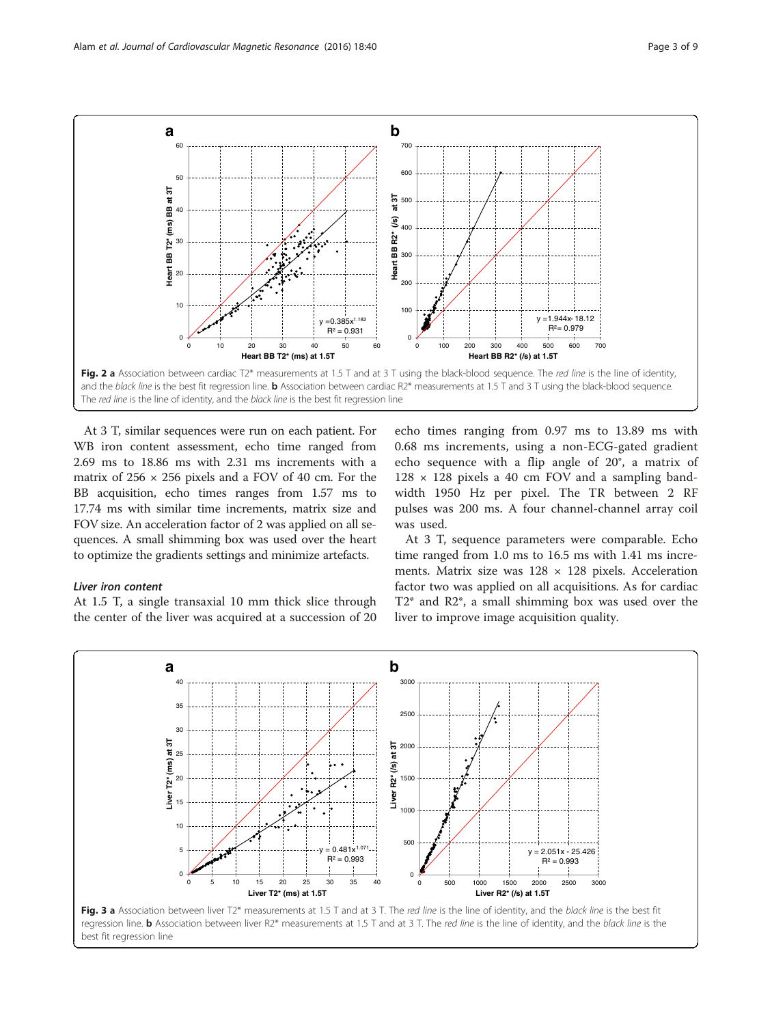<span id="page-2-0"></span>

At 3 T, similar sequences were run on each patient. For WB iron content assessment, echo time ranged from 2.69 ms to 18.86 ms with 2.31 ms increments with a matrix of  $256 \times 256$  pixels and a FOV of 40 cm. For the BB acquisition, echo times ranges from 1.57 ms to 17.74 ms with similar time increments, matrix size and FOV size. An acceleration factor of 2 was applied on all sequences. A small shimming box was used over the heart to optimize the gradients settings and minimize artefacts.

#### Liver iron content

At 1.5 T, a single transaxial 10 mm thick slice through the center of the liver was acquired at a succession of 20

echo times ranging from 0.97 ms to 13.89 ms with 0.68 ms increments, using a non-ECG-gated gradient echo sequence with a flip angle of 20°, a matrix of  $128 \times 128$  pixels a 40 cm FOV and a sampling bandwidth 1950 Hz per pixel. The TR between 2 RF pulses was 200 ms. A four channel-channel array coil was used.

At 3 T, sequence parameters were comparable. Echo time ranged from 1.0 ms to 16.5 ms with 1.41 ms increments. Matrix size was  $128 \times 128$  pixels. Acceleration factor two was applied on all acquisitions. As for cardiac T2\* and R2\*, a small shimming box was used over the liver to improve image acquisition quality.



regression line. **b** Association between liver R2\* measurements at 1.5 T and at 3 T. The red line is the line of identity, and the black line is the best fit regression line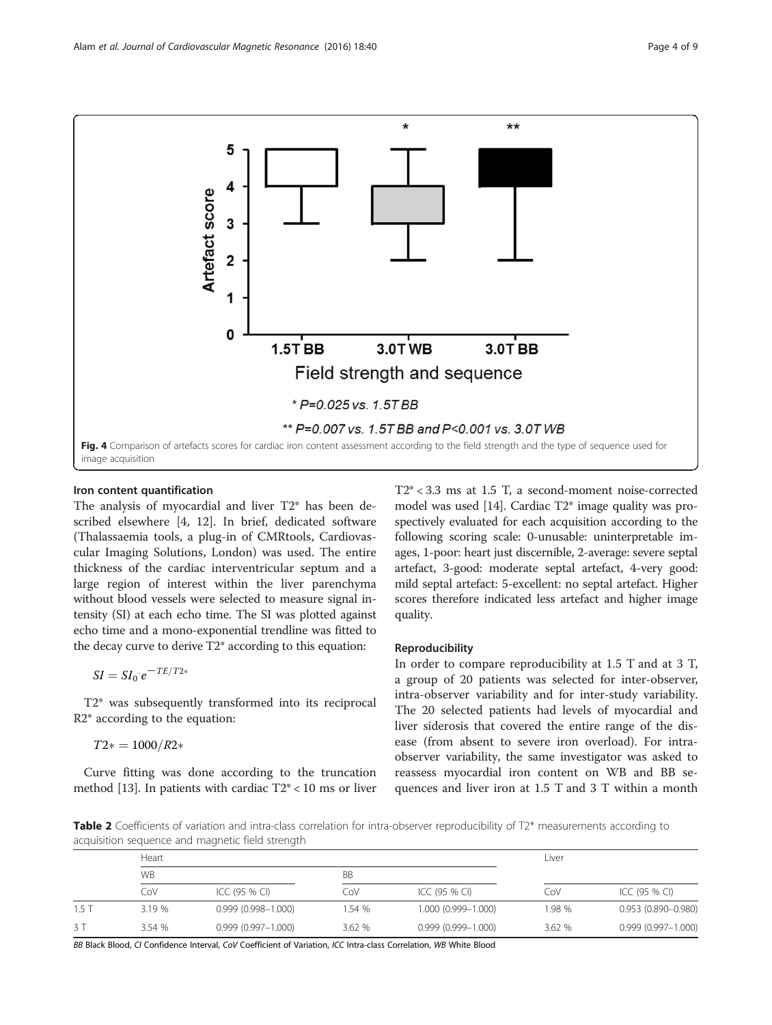<span id="page-3-0"></span>

# Iron content quantification

The analysis of myocardial and liver T2\* has been described elsewhere [\[4](#page-8-0), [12](#page-8-0)]. In brief, dedicated software (Thalassaemia tools, a plug-in of CMRtools, Cardiovascular Imaging Solutions, London) was used. The entire thickness of the cardiac interventricular septum and a large region of interest within the liver parenchyma without blood vessels were selected to measure signal intensity (SI) at each echo time. The SI was plotted against echo time and a mono-exponential trendline was fitted to the decay curve to derive T2\* according to this equation:

 $SI = SI_0$ :  $e^{-TE/T2*}$ 

T2\* was subsequently transformed into its reciprocal R2\* according to the equation:

 $T2* = 1000/R2*$ 

Curve fitting was done according to the truncation method [[13](#page-8-0)]. In patients with cardiac  $T2^* < 10$  ms or liver T2\* < 3.3 ms at 1.5 T, a second-moment noise-corrected model was used [\[14\]](#page-8-0). Cardiac T2\* image quality was prospectively evaluated for each acquisition according to the following scoring scale: 0-unusable: uninterpretable images, 1-poor: heart just discernible, 2-average: severe septal artefact, 3-good: moderate septal artefact, 4-very good: mild septal artefact: 5-excellent: no septal artefact. Higher scores therefore indicated less artefact and higher image quality.

# Reproducibility

In order to compare reproducibility at 1.5 T and at 3 T, a group of 20 patients was selected for inter-observer, intra-observer variability and for inter-study variability. The 20 selected patients had levels of myocardial and liver siderosis that covered the entire range of the disease (from absent to severe iron overload). For intraobserver variability, the same investigator was asked to reassess myocardial iron content on WB and BB sequences and liver iron at 1.5 T and 3 T within a month

Table 2 Coefficients of variation and intra-class correlation for intra-observer reproducibility of T2\* measurements according to acquisition sequence and magnetic field strength

|         | Heart  |                        |           |                        | Liver  |                        |
|---------|--------|------------------------|-----------|------------------------|--------|------------------------|
|         | WB     |                        | <b>BB</b> |                        |        |                        |
|         | CoV    | ICC (95 % CI)          | CoV       | ICC (95 % CI)          | CoV    | ICC (95 % CI)          |
| $1.5$ T | 3.19 % | $0.999(0.998 - 1.000)$ | 1.54 %    | $1.000(0.999 - 1.000)$ | 1.98 % | $0.953(0.890 - 0.980)$ |
| 3T      | 3.54 % | $0.999(0.997 - 1.000)$ | 3.62%     | $0.999(0.999 - 1.000)$ | 3.62 % | $0.999(0.997 - 1.000)$ |

BB Black Blood, CI Confidence Interval, CoV Coefficient of Variation, ICC Intra-class Correlation, WB White Blood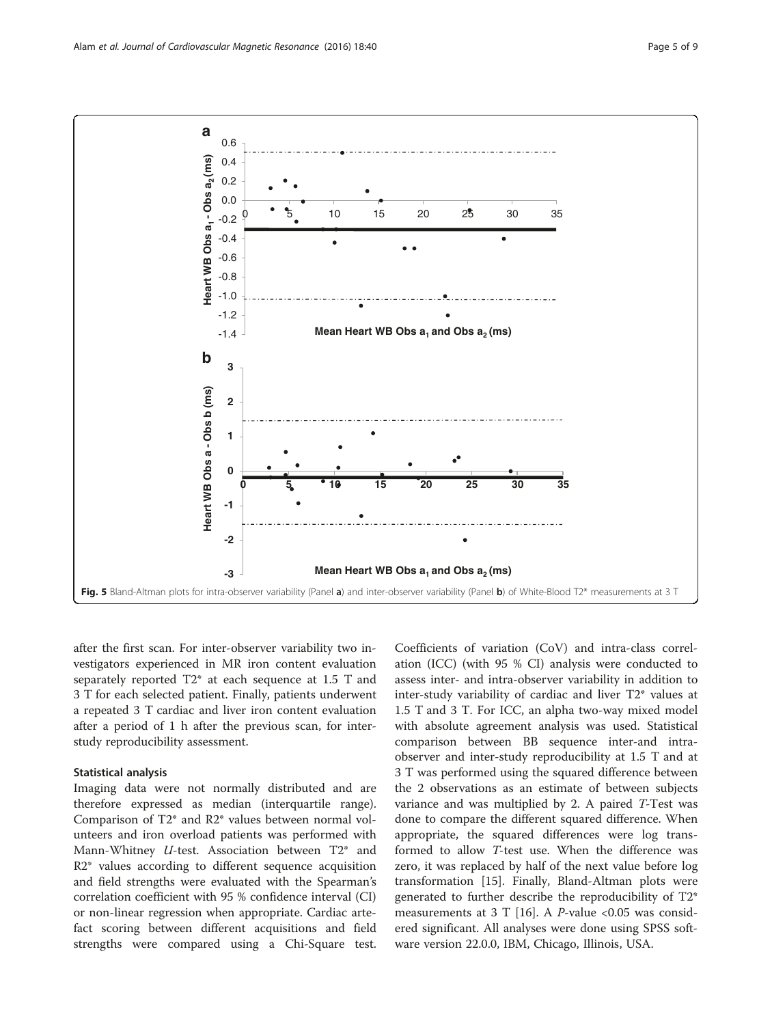<span id="page-4-0"></span>

after the first scan. For inter-observer variability two investigators experienced in MR iron content evaluation separately reported T2\* at each sequence at 1.5 T and 3 T for each selected patient. Finally, patients underwent a repeated 3 T cardiac and liver iron content evaluation after a period of 1 h after the previous scan, for interstudy reproducibility assessment.

### Statistical analysis

Imaging data were not normally distributed and are therefore expressed as median (interquartile range). Comparison of T2\* and R2\* values between normal volunteers and iron overload patients was performed with Mann-Whitney  $U$ -test. Association between  $T2^*$  and R2\* values according to different sequence acquisition and field strengths were evaluated with the Spearman's correlation coefficient with 95 % confidence interval (CI) or non-linear regression when appropriate. Cardiac artefact scoring between different acquisitions and field strengths were compared using a Chi-Square test.

Coefficients of variation (CoV) and intra-class correlation (ICC) (with 95 % CI) analysis were conducted to assess inter- and intra-observer variability in addition to inter-study variability of cardiac and liver T2\* values at 1.5 T and 3 T. For ICC, an alpha two-way mixed model with absolute agreement analysis was used. Statistical comparison between BB sequence inter-and intraobserver and inter-study reproducibility at 1.5 T and at 3 T was performed using the squared difference between the 2 observations as an estimate of between subjects variance and was multiplied by 2. A paired T-Test was done to compare the different squared difference. When appropriate, the squared differences were log transformed to allow T-test use. When the difference was zero, it was replaced by half of the next value before log transformation [[15](#page-8-0)]. Finally, Bland-Altman plots were generated to further describe the reproducibility of T2\* measurements at 3 T [[16\]](#page-8-0). A  $P$ -value <0.05 was considered significant. All analyses were done using SPSS software version 22.0.0, IBM, Chicago, Illinois, USA.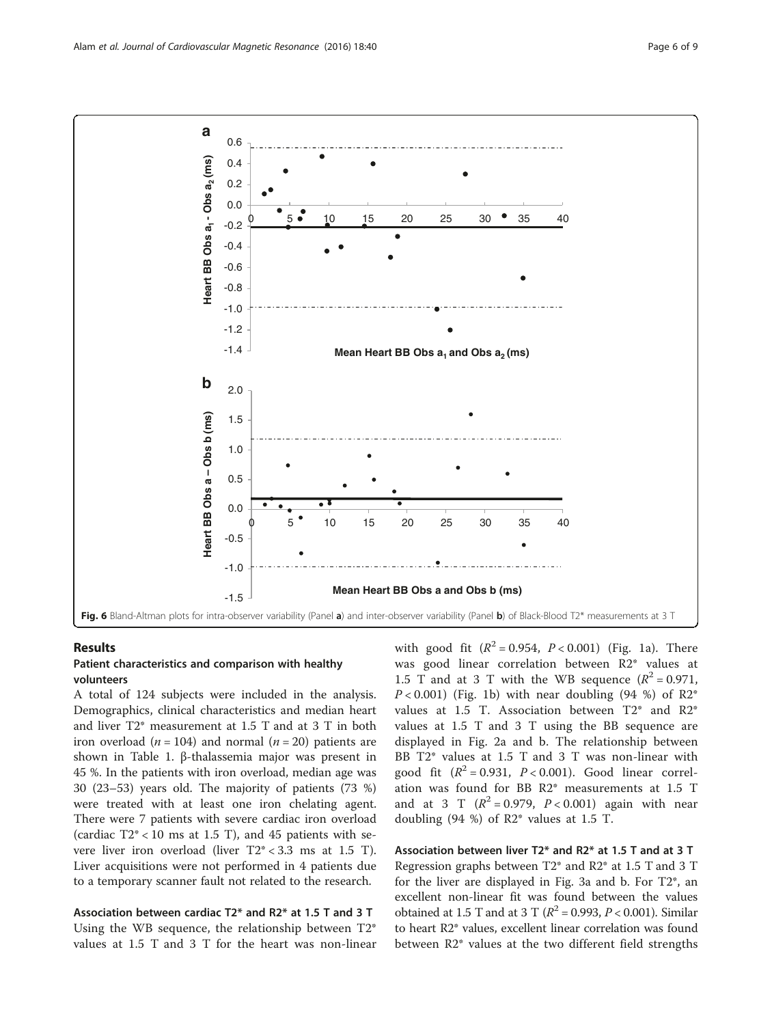<span id="page-5-0"></span>

#### Results

# Patient characteristics and comparison with healthy volunteers

A total of 124 subjects were included in the analysis. Demographics, clinical characteristics and median heart and liver T2\* measurement at 1.5 T and at 3 T in both iron overload ( $n = 104$ ) and normal ( $n = 20$ ) patients are shown in Table [1](#page-1-0). β-thalassemia major was present in 45 %. In the patients with iron overload, median age was 30 (23–53) years old. The majority of patients (73 %) were treated with at least one iron chelating agent. There were 7 patients with severe cardiac iron overload (cardiac  $T2^* < 10$  ms at 1.5 T), and 45 patients with severe liver iron overload (liver T2\* < 3.3 ms at 1.5 T). Liver acquisitions were not performed in 4 patients due to a temporary scanner fault not related to the research.

Association between cardiac T2\* and R2\* at 1.5 T and 3 T Using the WB sequence, the relationship between T2\* values at 1.5 T and 3 T for the heart was non-linear with good fit  $(R^2 = 0.954, P < 0.001)$  (Fig. [1a\)](#page-1-0). There was good linear correlation between R2\* values at 1.5 T and at 3 T with the WB sequence  $(R^2 = 0.971,$  $P < 0.001$ ) (Fig. [1b\)](#page-1-0) with near doubling (94 %) of R2<sup>\*</sup> values at 1.5 T. Association between T2\* and R2\* values at 1.5 T and 3 T using the BB sequence are displayed in Fig. [2a](#page-2-0) and [b](#page-2-0). The relationship between BB T2\* values at 1.5 T and 3 T was non-linear with good fit  $(R^2 = 0.931, P < 0.001)$ . Good linear correlation was found for BB R2\* measurements at 1.5 T and at 3 T  $(R^2 = 0.979, P < 0.001)$  again with near doubling  $(94 \%)$  of R2\* values at 1.5 T.

Association between liver T2\* and R2\* at 1.5 T and at 3 T Regression graphs between T2\* and R2\* at 1.5 T and 3 T for the liver are displayed in Fig. [3a](#page-2-0) and [b.](#page-2-0) For T2\*, an excellent non-linear fit was found between the values obtained at 1.5 T and at 3 T ( $R^2$  = 0.993,  $P$  < 0.001). Similar to heart R2\* values, excellent linear correlation was found between R2\* values at the two different field strengths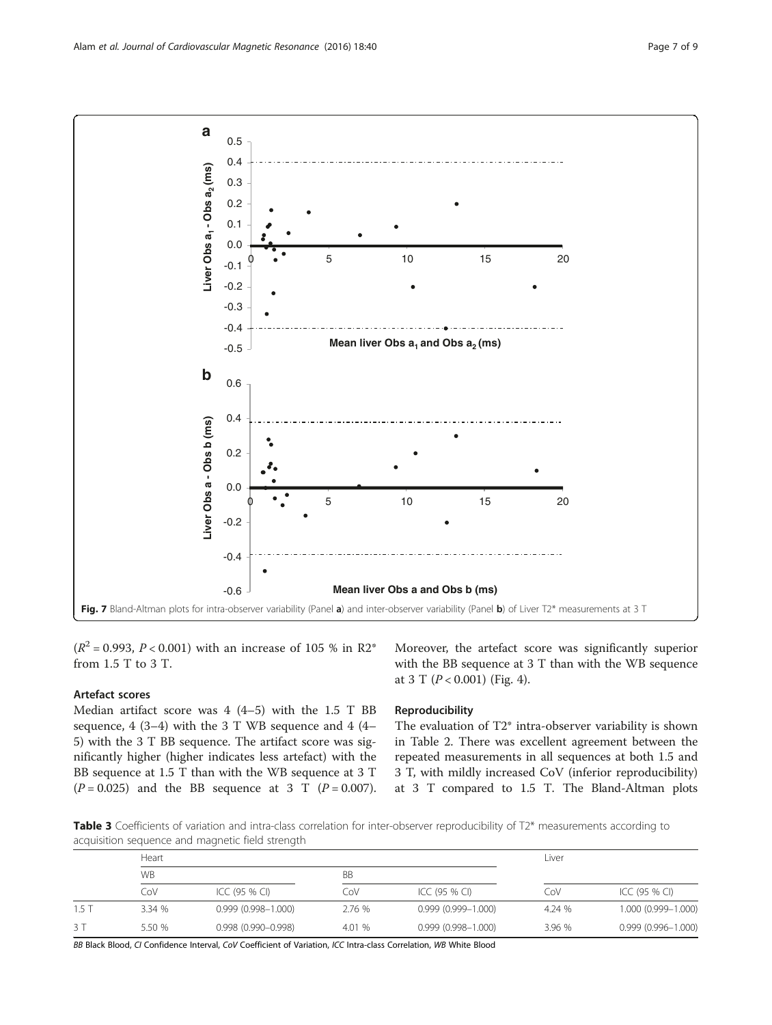<span id="page-6-0"></span>

 $(R^2 = 0.993, P < 0.001)$  with an increase of 105 % in R2<sup>\*</sup> from 1.5 T to 3 T.

# Artefact scores

Median artifact score was 4 (4–5) with the 1.5 T BB sequence,  $4(3-4)$  with the 3 T WB sequence and  $4(4-$ 5) with the 3 T BB sequence. The artifact score was significantly higher (higher indicates less artefact) with the BB sequence at 1.5 T than with the WB sequence at 3 T  $(P = 0.025)$  and the BB sequence at 3 T  $(P = 0.007)$ .

Moreover, the artefact score was significantly superior with the BB sequence at 3 T than with the WB sequence at 3 T  $(P < 0.001)$  (Fig. [4\)](#page-3-0).

# Reproducibility

The evaluation of T2\* intra-observer variability is shown in Table [2.](#page-3-0) There was excellent agreement between the repeated measurements in all sequences at both 1.5 and 3 T, with mildly increased CoV (inferior reproducibility) at 3 T compared to 1.5 T. The Bland-Altman plots

Table 3 Coefficients of variation and intra-class correlation for inter-observer reproducibility of T2\* measurements according to acquisition sequence and magnetic field strength

|         | $\tilde{}$<br>$\tilde{}$<br>Heart |                        |           |                        | Liver  |                        |
|---------|-----------------------------------|------------------------|-----------|------------------------|--------|------------------------|
|         | <b>WB</b>                         |                        | <b>BB</b> |                        |        |                        |
|         | CoV                               | ICC (95 % CI)          | CoV       | ICC (95 % CI)          | CoV    | ICC (95 % CI)          |
| $1.5$ T | 3.34 %                            | $0.999(0.998 - 1.000)$ | 2.76 %    | $0.999(0.999 - 1.000)$ | 4.24 % | 1.000 (0.999-1.000)    |
| 3 T     | 5.50 %                            | $0.998(0.990 - 0.998)$ | 4.01 %    | $0.999(0.998 - 1.000)$ | 3.96 % | $0.999(0.996 - 1.000)$ |

BB Black Blood, CI Confidence Interval, CoV Coefficient of Variation, ICC Intra-class Correlation, WB White Blood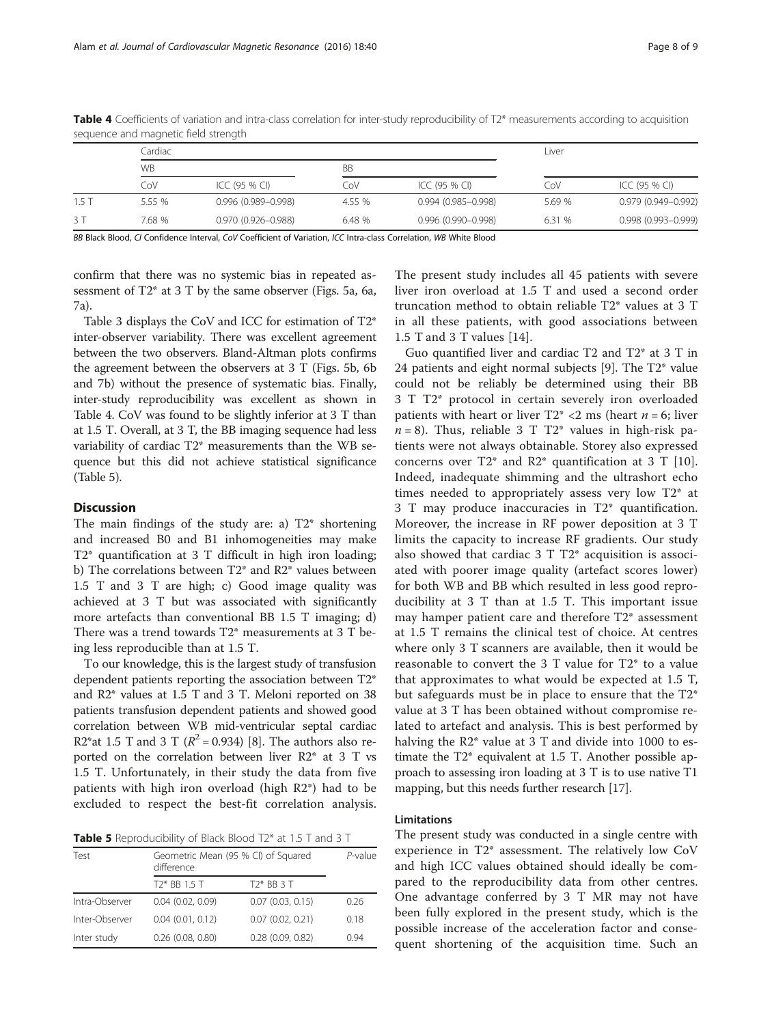|      | Cardiac   |                        |           |                        |        | Liver               |  |
|------|-----------|------------------------|-----------|------------------------|--------|---------------------|--|
|      | <b>WB</b> |                        | <b>BB</b> |                        |        |                     |  |
|      | CoV       | ICC (95 % CI)          | CoV       | ICC (95 % CI)          | CoV    | ICC (95 % CI)       |  |
| 1.5T | 5.55 %    | $0.996(0.989 - 0.998)$ | 4.55 %    | $0.994(0.985 - 0.998)$ | 5.69 % | 0.979 (0.949-0.992) |  |
| 3 T  | 7.68 %    | 0.970 (0.926-0.988)    | 6.48 %    | $0.996(0.990 - 0.998)$ | 6.31 % | 0.998 (0.993-0.999) |  |

Table 4 Coefficients of variation and intra-class correlation for inter-study reproducibility of T2\* measurements according to acquisition sequence and magnetic field strength

BB Black Blood, CI Confidence Interval, CoV Coefficient of Variation, ICC Intra-class Correlation, WB White Blood

confirm that there was no systemic bias in repeated assessment of T2\* at 3 T by the same observer (Figs. [5a,](#page-4-0) [6a](#page-5-0), [7a\)](#page-6-0).

Table [3](#page-6-0) displays the CoV and ICC for estimation of T2\* inter-observer variability. There was excellent agreement between the two observers. Bland-Altman plots confirms the agreement between the observers at 3 T (Figs. [5b](#page-4-0), [6b](#page-5-0) and [7b](#page-6-0)) without the presence of systematic bias. Finally, inter-study reproducibility was excellent as shown in Table 4. CoV was found to be slightly inferior at 3 T than at 1.5 T. Overall, at 3 T, the BB imaging sequence had less variability of cardiac T2\* measurements than the WB sequence but this did not achieve statistical significance (Table 5).

# **Discussion**

The main findings of the study are: a) T2\* shortening and increased B0 and B1 inhomogeneities may make T2\* quantification at 3 T difficult in high iron loading; b) The correlations between T2\* and R2\* values between 1.5 T and 3 T are high; c) Good image quality was achieved at 3 T but was associated with significantly more artefacts than conventional BB 1.5 T imaging; d) There was a trend towards T2\* measurements at 3 T being less reproducible than at 1.5 T.

To our knowledge, this is the largest study of transfusion dependent patients reporting the association between T2\* and R2\* values at 1.5 T and 3 T. Meloni reported on 38 patients transfusion dependent patients and showed good correlation between WB mid-ventricular septal cardiac R2\*at 1.5 T and 3 T ( $R^2 = 0.934$ ) [\[8](#page-8-0)]. The authors also reported on the correlation between liver R2\* at 3 T vs 1.5 T. Unfortunately, in their study the data from five patients with high iron overload (high R2\*) had to be excluded to respect the best-fit correlation analysis.

Table 5 Reproducibility of Black Blood T2\* at 1.5 T and 3 T

| Test           | Geometric Mean (95 % CI) of Squared<br>difference | $P$ -value            |      |
|----------------|---------------------------------------------------|-----------------------|------|
|                | T <sub>2</sub> * BB 1.5 T                         | $T2*BB3T$             |      |
| Intra-Observer | $0.04$ $(0.02, 0.09)$                             | $0.07$ $(0.03, 0.15)$ | 0.26 |
| Inter-Observer | $0.04$ $(0.01, 0.12)$                             | $0.07$ $(0.02, 0.21)$ | 0.18 |
| Inter study    | $0.26$ $(0.08, 0.80)$                             | $0.28$ $(0.09, 0.82)$ | 0.94 |

The present study includes all 45 patients with severe liver iron overload at 1.5 T and used a second order truncation method to obtain reliable T2\* values at 3 T in all these patients, with good associations between 1.5 T and 3 T values [\[14](#page-8-0)].

Guo quantified liver and cardiac T2 and T2\* at 3 T in 24 patients and eight normal subjects [[9\]](#page-8-0). The T2\* value could not be reliably be determined using their BB 3 T T2\* protocol in certain severely iron overloaded patients with heart or liver  $T2^* < 2$  ms (heart  $n = 6$ ; liver  $n = 8$ ). Thus, reliable 3 T T2\* values in high-risk patients were not always obtainable. Storey also expressed concerns over  $T2^*$  and  $R2^*$  quantification at 3 T [[10](#page-8-0)]. Indeed, inadequate shimming and the ultrashort echo times needed to appropriately assess very low T2\* at 3 T may produce inaccuracies in T2\* quantification. Moreover, the increase in RF power deposition at 3 T limits the capacity to increase RF gradients. Our study also showed that cardiac 3 T T2\* acquisition is associated with poorer image quality (artefact scores lower) for both WB and BB which resulted in less good reproducibility at 3 T than at 1.5 T. This important issue may hamper patient care and therefore T2\* assessment at 1.5 T remains the clinical test of choice. At centres where only 3 T scanners are available, then it would be reasonable to convert the 3 T value for T2\* to a value that approximates to what would be expected at 1.5 T, but safeguards must be in place to ensure that the T2\* value at 3 T has been obtained without compromise related to artefact and analysis. This is best performed by halving the R2<sup>\*</sup> value at 3 T and divide into 1000 to estimate the T2\* equivalent at 1.5 T. Another possible approach to assessing iron loading at 3 T is to use native T1 mapping, but this needs further research [[17](#page-8-0)].

# Limitations

The present study was conducted in a single centre with experience in T2\* assessment. The relatively low CoV and high ICC values obtained should ideally be compared to the reproducibility data from other centres. One advantage conferred by 3 T MR may not have been fully explored in the present study, which is the possible increase of the acceleration factor and consequent shortening of the acquisition time. Such an